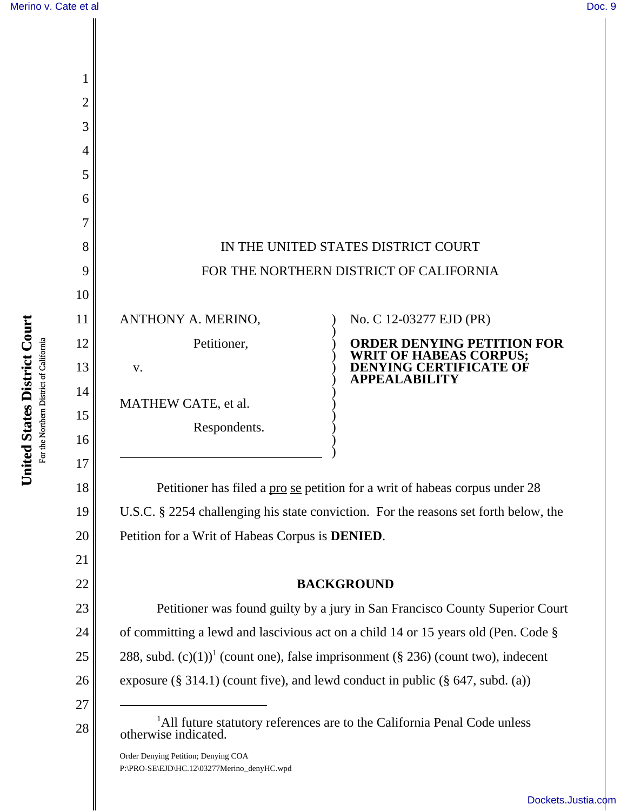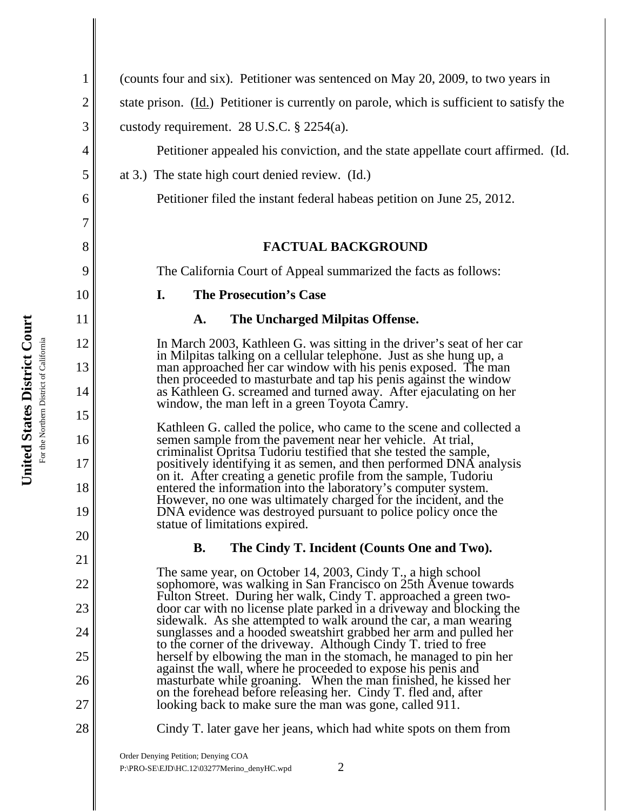1 2 3 4 5 6 7 8 9 10 11 12 13 14 15 16 17 18 19 20 21 22 23 24 25 26 27 28 (counts four and six). Petitioner was sentenced on May 20, 2009, to two years in state prison. (Id.) Petitioner is currently on parole, which is sufficient to satisfy the custody requirement. 28 U.S.C. § 2254(a). Petitioner appealed his conviction, and the state appellate court affirmed. (Id. at 3.) The state high court denied review. (Id.) Petitioner filed the instant federal habeas petition on June 25, 2012. **FACTUAL BACKGROUND** The California Court of Appeal summarized the facts as follows: **I. The Prosecution's Case A. The Uncharged Milpitas Offense.** In March 2003, Kathleen G. was sitting in the driver's seat of her car in Milpitas talking on a cellular telephone. Just as she hung up, a man approached her car window with his penis exposed. The man then proceeded to masturbate and tap his penis against the window as Kathleen G. screamed and turned away. After ejaculating on her window, the man left in a green Toyota Camry. Kathleen G. called the police, who came to the scene and collected a semen sample from the pavement near her vehicle. At trial, criminalist Opritsa Tudoriu testified that she tested the sample, positively identifying it as semen, and then performed DNA analysis on it. After creating a genetic profile from the sample, Tudoriu entered the information into the laboratory's computer system. However, no one was ultimately charged for the incident, and the DNA evidence was destroyed pursuant to police policy once the statue of limitations expired. **B. The Cindy T. Incident (Counts One and Two).**  The same year, on October 14, 2003, Cindy T., a high school sophomore, was walking in San Francisco on 25th Avenue towards Fulton Street. During her walk, Cindy T. approached a green twodoor car with no license plate parked in a driveway and blocking the sidewalk. As she attempted to walk around the car, a man wearing sunglasses and a hooded sweatshirt grabbed her arm and pulled her to the corner of the driveway. Although Cindy T. tried to free herself by elbowing the man in the stomach, he managed to pin her against the wall, where he proceeded to expose his penis and masturbate while groaning. When the man finished, he kissed her on the forehead before releasing her. Cindy T. fled and, after looking back to make sure the man was gone, called 911. Cindy T. later gave her jeans, which had white spots on them from

Order Denying Petition; Denying COA  $P:\P(PRO-SE\setminus EJD)\mid IC.12\setminus 03277$ Merino\_denyHC.wpd 2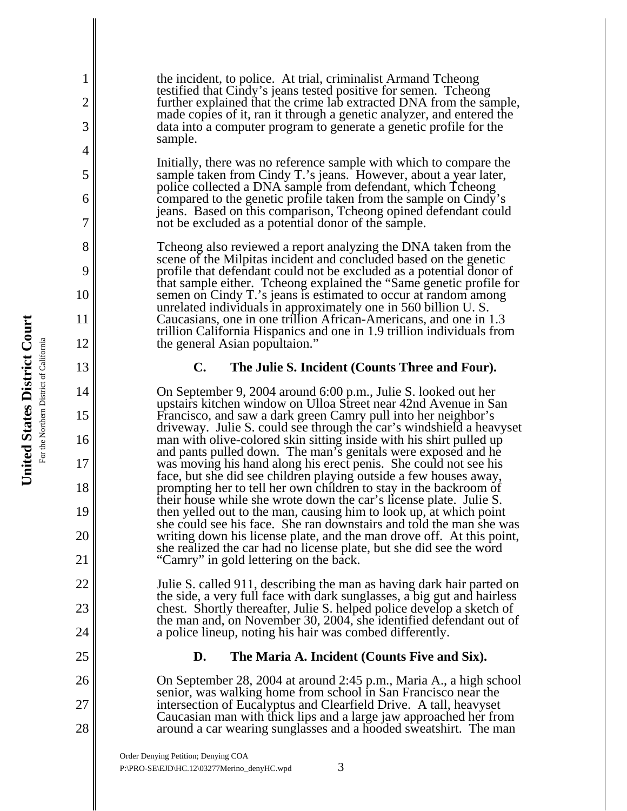the incident, to police. At trial, criminalist Armand Tcheong testified that Cindy's jeans tested positive for semen. Tcheong further explained that the crime lab extracted DNA from the sample, made copies of it, ran it through a genetic analyzer, and entered the data into a computer program to generate a genetic profile for the sample.

Initially, there was no reference sample with which to compare the sample taken from Cindy T.'s jeans. However, about a year later, police collected a DNA sample from defendant, which Tcheong compared to the genetic profile taken from the sample on Cindy's jeans. Based on this comparison, Tcheong opined defendant could not be excluded as a potential donor of the sample.

Tcheong also reviewed a report analyzing the DNA taken from the scene of the Milpitas incident and concluded based on the genetic profile that defendant could not be excluded as a potential donor of that sample either. Tcheong explained the "Same genetic profile for semen on Cindy T.'s jeans is estimated to occur at random among unrelated individuals in approximately one in 560 billion U. S. Caucasians, one in one trillion African-Americans, and one in 1.3 trillion California Hispanics and one in 1.9 trillion individuals from the general Asian popultaion."

## **C. The Julie S. Incident (Counts Three and Four).**

On September 9, 2004 around 6:00 p.m., Julie S. looked out her upstairs kitchen window on Ulloa Street near 42nd Avenue in San Francisco, and saw a dark green Camry pull into her neighbor's driveway. Julie S. could see through the car's windshield a heavyset man with olive-colored skin sitting inside with his shirt pulled up and pants pulled down. The man's genitals were exposed and he was moving his hand along his erect penis. She could not see his face, but she did see children playing outside a few houses away, prompting her to tell her own children to stay in the backroom of their house while she wrote down the car's license plate. Julie S. then yelled out to the man, causing him to look up, at which point she could see his face. She ran downstairs and told the man she was writing down his license plate, and the man drove off. At this point, she realized the car had no license plate, but she did see the word "Camry" in gold lettering on the back.

Julie S. called 911, describing the man as having dark hair parted on the side, a very full face with dark sunglasses, a big gut and hairless chest. Shortly thereafter, Julie S. helped police develop a sketch of the man and, on November 30, 2004, she identified defendant out of a police lineup, noting his hair was combed differently.

## **D. The Maria A. Incident (Counts Five and Six).**

On September 28, 2004 at around 2:45 p.m., Maria A., a high school senior, was walking home from school in San Francisco near the intersection of Eucalyptus and Clearfield Drive. A tall, heavyset Caucasian man with thick lips and a large jaw approached her from around a car wearing sunglasses and a hooded sweatshirt. The man

Order Denying Petition; Denying COA P:\PRO-SE\EJD\HC.12\03277Merino\_denyHC.wpd 3

1

2

3

4

5

6

7

8

9

10

11

12

13

14

15

16

17

18

19

20

21

22

23

24

25

26

27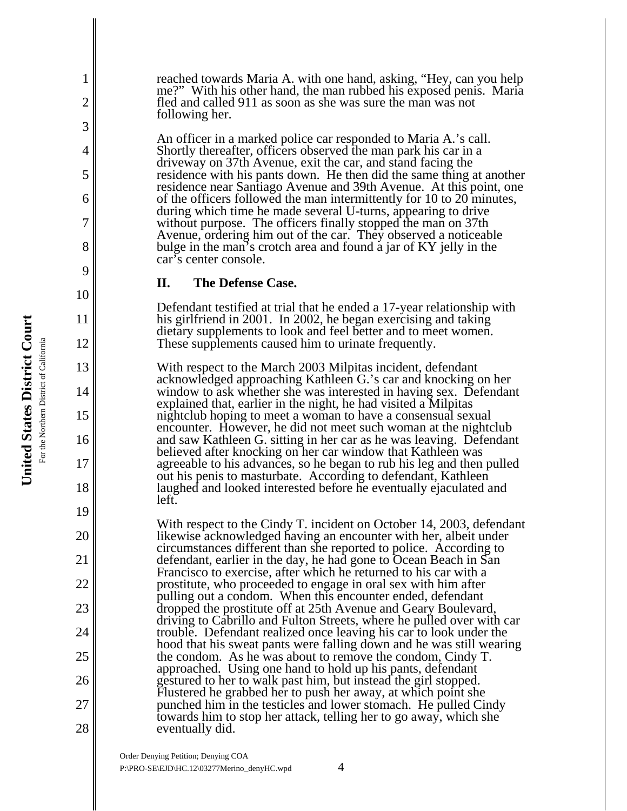reached towards Maria A. with one hand, asking, "Hey, can you help me?" With his other hand, the man rubbed his exposed penis. Maria fled and called 911 as soon as she was sure the man was not following her.

An officer in a marked police car responded to Maria A.'s call. Shortly thereafter, officers observed the man park his car in a driveway on 37th Avenue, exit the car, and stand facing the residence with his pants down. He then did the same thing at another residence near Santiago Avenue and 39th Avenue. At this point, one of the officers followed the man intermittently for 10 to 20 minutes, during which time he made several U-turns, appearing to drive without purpose. The officers finally stopped the man on 37th Avenue, ordering him out of the car. They observed a noticeable bulge in the man's crotch area and found a jar of KY jelly in the car's center console.

## **II. The Defense Case.**

Defendant testified at trial that he ended a 17-year relationship with his girlfriend in 2001. In 2002, he began exercising and taking dietary supplements to look and feel better and to meet women. These supplements caused him to urinate frequently.

With respect to the March 2003 Milpitas incident, defendant acknowledged approaching Kathleen G.'s car and knocking on her window to ask whether she was interested in having sex. Defendant explained that, earlier in the night, he had visited a Milpitas nightclub hoping to meet a woman to have a consensual sexual encounter. However, he did not meet such woman at the nightclub and saw Kathleen G. sitting in her car as he was leaving. Defendant believed after knocking on her car window that Kathleen was agreeable to his advances, so he began to rub his leg and then pulled out his penis to masturbate. According to defendant, Kathleen laughed and looked interested before he eventually ejaculated and left.

With respect to the Cindy T. incident on October 14, 2003, defendant likewise acknowledged having an encounter with her, albeit under circumstances different than she reported to police. According to defendant, earlier in the day, he had gone to Ocean Beach in San Francisco to exercise, after which he returned to his car with a prostitute, who proceeded to engage in oral sex with him after pulling out a condom. When this encounter ended, defendant dropped the prostitute off at 25th Avenue and Geary Boulevard, driving to Cabrillo and Fulton Streets, where he pulled over with car trouble. Defendant realized once leaving his car to look under the hood that his sweat pants were falling down and he was still wearing the condom. As he was about to remove the condom, Cindy T. approached. Using one hand to hold up his pants, defendant gestured to her to walk past him, but instead the girl stopped. Flustered he grabbed her to push her away, at which point she punched him in the testicles and lower stomach. He pulled Cindy towards him to stop her attack, telling her to go away, which she eventually did.

1

2

3

4

5

6

7

8

9

10

11

12

13

14

15

16

17

18

19

20

21

22

23

24

25

26

27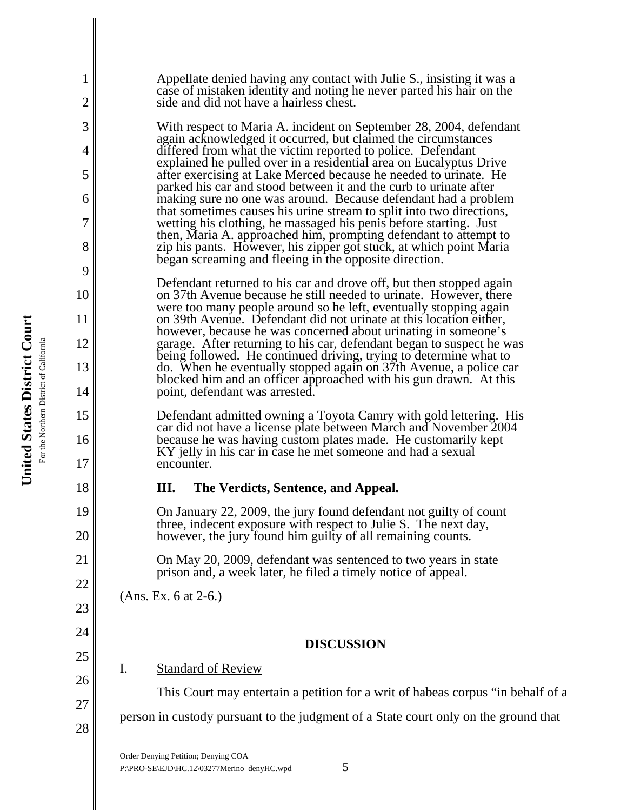| 1<br>2         | Appellate denied having any contact with Julie S., insisting it was a<br>case of mistaken identity and noting he never parted his hair on the<br>side and did not have a hairless chest.                      |
|----------------|---------------------------------------------------------------------------------------------------------------------------------------------------------------------------------------------------------------|
| 3              | With respect to Maria A. incident on September 28, 2004, defendant                                                                                                                                            |
| $\overline{4}$ | again acknowledged it occurred, but claimed the circumstances<br>differed from what the victim reported to police. Defendant                                                                                  |
| 5              | explained he pulled over in a residential area on Eucalyptus Drive<br>after exercising at Lake Merced because he needed to urinate. He                                                                        |
| 6              | parked his car and stood between it and the curb to urinate after<br>making sure no one was around. Because defendant had a problem                                                                           |
| 7              | that sometimes causes his urine stream to split into two directions,<br>wetting his clothing, he massaged his penis before starting. Just                                                                     |
| 8              | then, Maria A. approached him, prompting defendant to attempt to<br>zip his pants. However, his zipper got stuck, at which point Maria                                                                        |
| 9              | began screaming and fleeing in the opposite direction.                                                                                                                                                        |
| 10             | Defendant returned to his car and drove off, but then stopped again<br>on 37th Avenue because he still needed to urinate. However, there<br>were too many people around so he left, eventually stopping again |
| 11             | on 39th Avenue. Defendant did not urinate at this location either,<br>however, because he was concerned about urinating in some one's                                                                         |
| 12             | garage. After returning to his car, defendant began to suspect he was                                                                                                                                         |
| 13             | being followed. He continued driving, trying to determine what to<br>do. When he eventually stopped again on 37th Avenue, a police car                                                                        |
| 14             | blocked him and an officer approached with his gun drawn. At this<br>point, defendant was arrested.                                                                                                           |
| 15             | Defendant admitted owning a Toyota Camry with gold lettering. His                                                                                                                                             |
| 16             | car did not have a license plate between March and November 2004<br>because he was having custom plates made. He customarily kept                                                                             |
| 17             | KY jelly in his car in case he met someone and had a sexual<br>encounter.                                                                                                                                     |
| 18             | Ш.<br>The Verdicts, Sentence, and Appeal.                                                                                                                                                                     |
| 19             | On January 22, 2009, the jury found defendant not guilty of count<br>three, indecent exposure with respect to Julie S. The next day,                                                                          |
| 20             | however, the jury found him guilty of all remaining counts.                                                                                                                                                   |
| 21             | On May 20, 2009, defendant was sentenced to two years in state<br>prison and, a week later, he filed a timely notice of appeal.                                                                               |
| 22             | (Ans. Ex. 6 at 2-6.)                                                                                                                                                                                          |
| 23             |                                                                                                                                                                                                               |
| 24             | <b>DISCUSSION</b>                                                                                                                                                                                             |
| 25             | <b>Standard of Review</b><br>Ι.                                                                                                                                                                               |
| 26             | This Court may entertain a petition for a writ of habeas corpus "in behalf of a                                                                                                                               |
| 27             | person in custody pursuant to the judgment of a State court only on the ground that                                                                                                                           |
| 28             |                                                                                                                                                                                                               |
|                | $\alpha$ rdar Danving Datition: Danving COA                                                                                                                                                                   |

Order Denying Petition; Denying COA  $P:\PPRO-SE\EJD\HC.12\03277Merino\_denyHC.wpd$  5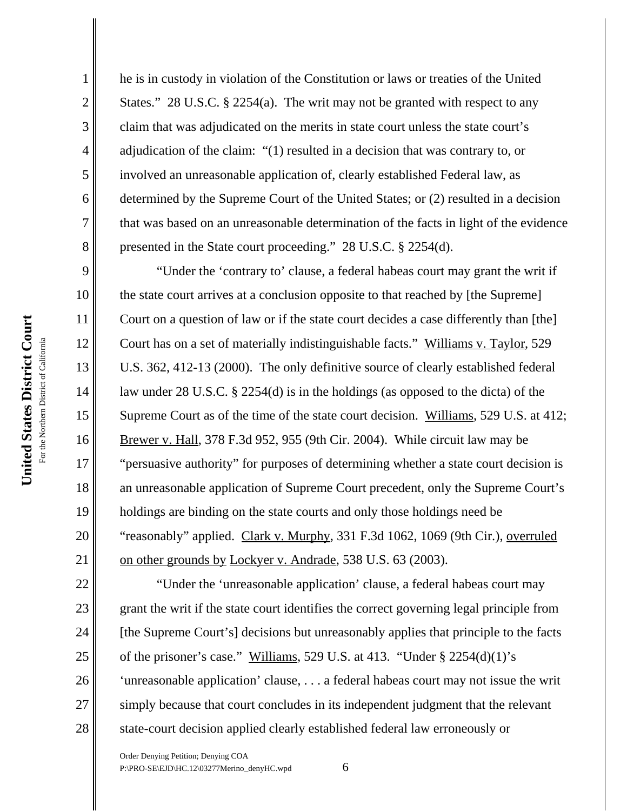1

2

3

he is in custody in violation of the Constitution or laws or treaties of the United States." 28 U.S.C. § 2254(a). The writ may not be granted with respect to any claim that was adjudicated on the merits in state court unless the state court's adjudication of the claim: "(1) resulted in a decision that was contrary to, or involved an unreasonable application of, clearly established Federal law, as determined by the Supreme Court of the United States; or (2) resulted in a decision that was based on an unreasonable determination of the facts in light of the evidence presented in the State court proceeding." 28 U.S.C. § 2254(d).

"Under the 'contrary to' clause, a federal habeas court may grant the writ if the state court arrives at a conclusion opposite to that reached by [the Supreme] Court on a question of law or if the state court decides a case differently than [the] Court has on a set of materially indistinguishable facts." Williams v. Taylor, 529 U.S. 362, 412-13 (2000). The only definitive source of clearly established federal law under 28 U.S.C. § 2254(d) is in the holdings (as opposed to the dicta) of the Supreme Court as of the time of the state court decision. Williams, 529 U.S. at 412; Brewer v. Hall, 378 F.3d 952, 955 (9th Cir. 2004). While circuit law may be "persuasive authority" for purposes of determining whether a state court decision is an unreasonable application of Supreme Court precedent, only the Supreme Court's holdings are binding on the state courts and only those holdings need be "reasonably" applied. Clark v. Murphy, 331 F.3d 1062, 1069 (9th Cir.), overruled on other grounds by Lockyer v. Andrade, 538 U.S. 63 (2003).

22 23 24 28 "Under the 'unreasonable application' clause, a federal habeas court may grant the writ if the state court identifies the correct governing legal principle from [the Supreme Court's] decisions but unreasonably applies that principle to the facts of the prisoner's case." Williams, 529 U.S. at 413. "Under § 2254(d)(1)'s 'unreasonable application' clause, . . . a federal habeas court may not issue the writ simply because that court concludes in its independent judgment that the relevant state-court decision applied clearly established federal law erroneously or

Order Denying Petition; Denying COA P:\PRO-SE\EJD\HC.12\03277Merino\_denyHC.wpd 6

25 26

27

14

15

16

17

18

19

20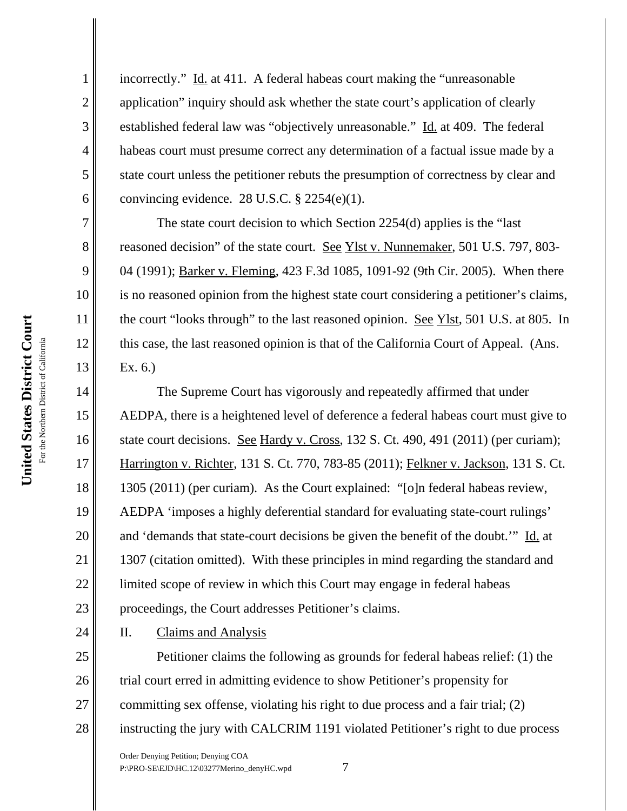United States District Court

1

2

3

4

5

6

7

8

9

10

11

12

13

14

15

16

17

18

19

20

21

22

23

24

incorrectly." Id. at 411. A federal habeas court making the "unreasonable" application" inquiry should ask whether the state court's application of clearly established federal law was "objectively unreasonable." Id. at 409. The federal habeas court must presume correct any determination of a factual issue made by a state court unless the petitioner rebuts the presumption of correctness by clear and convincing evidence. 28 U.S.C.  $\S$  2254(e)(1).

The state court decision to which Section 2254(d) applies is the "last reasoned decision" of the state court. See Ylst v. Nunnemaker, 501 U.S. 797, 803-04 (1991); Barker v. Fleming, 423 F.3d 1085, 1091-92 (9th Cir. 2005). When there is no reasoned opinion from the highest state court considering a petitioner's claims, the court "looks through" to the last reasoned opinion. See Ylst, 501 U.S. at 805. In this case, the last reasoned opinion is that of the California Court of Appeal. (Ans. Ex. 6.)

The Supreme Court has vigorously and repeatedly affirmed that under AEDPA, there is a heightened level of deference a federal habeas court must give to state court decisions. See Hardy v. Cross, 132 S. Ct. 490, 491 (2011) (per curiam); Harrington v. Richter, 131 S. Ct. 770, 783-85 (2011); Felkner v. Jackson, 131 S. Ct. 1305 (2011) (per curiam). As the Court explained: "[o]n federal habeas review, AEDPA 'imposes a highly deferential standard for evaluating state-court rulings' and 'demands that state-court decisions be given the benefit of the doubt.'" Id. at 1307 (citation omitted). With these principles in mind regarding the standard and limited scope of review in which this Court may engage in federal habeas proceedings, the Court addresses Petitioner's claims.

II. Claims and Analysis

25 26 27 28 Petitioner claims the following as grounds for federal habeas relief: (1) the trial court erred in admitting evidence to show Petitioner's propensity for committing sex offense, violating his right to due process and a fair trial; (2) instructing the jury with CALCRIM 1191 violated Petitioner's right to due process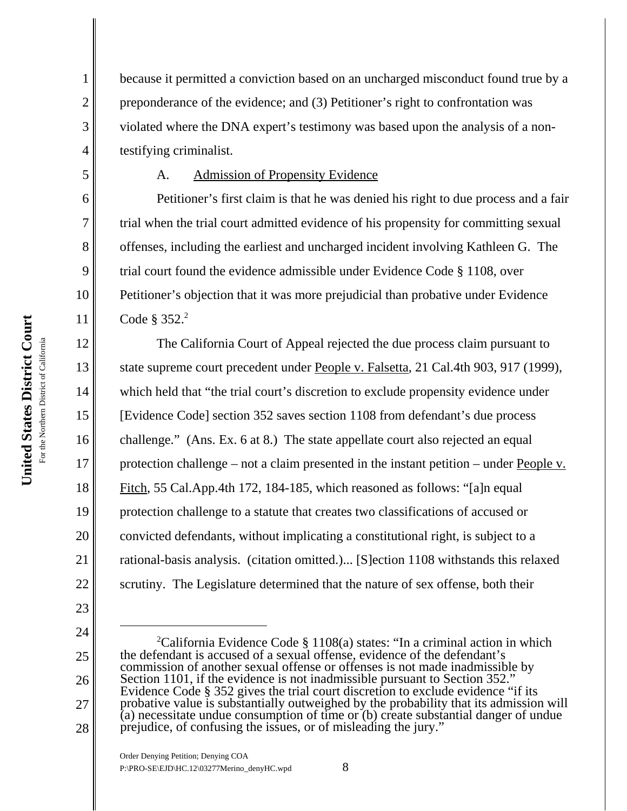2

3

4

5

6

7

8

9

10

11

12

13

14

15

16

17

18

19

20

21

22

23

27

because it permitted a conviction based on an uncharged misconduct found true by a preponderance of the evidence; and (3) Petitioner's right to confrontation was violated where the DNA expert's testimony was based upon the analysis of a nontestifying criminalist.

# A. Admission of Propensity Evidence

Petitioner's first claim is that he was denied his right to due process and a fair trial when the trial court admitted evidence of his propensity for committing sexual offenses, including the earliest and uncharged incident involving Kathleen G. The trial court found the evidence admissible under Evidence Code § 1108, over Petitioner's objection that it was more prejudicial than probative under Evidence Code  $\S 352.<sup>2</sup>$ 

The California Court of Appeal rejected the due process claim pursuant to state supreme court precedent under People v. Falsetta, 21 Cal.4th 903, 917 (1999), which held that "the trial court's discretion to exclude propensity evidence under [Evidence Code] section 352 saves section 1108 from defendant's due process challenge." (Ans. Ex. 6 at 8.) The state appellate court also rejected an equal protection challenge – not a claim presented in the instant petition – under People v. Fitch, 55 Cal.App.4th 172, 184-185, which reasoned as follows: "[a]n equal protection challenge to a statute that creates two classifications of accused or convicted defendants, without implicating a constitutional right, is subject to a rational-basis analysis. (citation omitted.)... [S]ection 1108 withstands this relaxed scrutiny. The Legislature determined that the nature of sex offense, both their

<sup>24</sup> 25 26 28 <sup>2</sup>California Evidence Code § 1108(a) states: "In a criminal action in which the defendant is accused of a sexual offense, evidence of the defendant's commission of another sexual offense or offenses is not made inadmissible by Section 1101, if the evidence is not inadmissible pursuant to Section 352. Evidence Code § 352 gives the trial court discretion to exclude evidence "if its probative value is substantially outweighed by the probability that its admission will (a) necessitate undue consumption of time or (b) create substantial danger of undue prejudice, of confusing the issues, or of misleading the jury."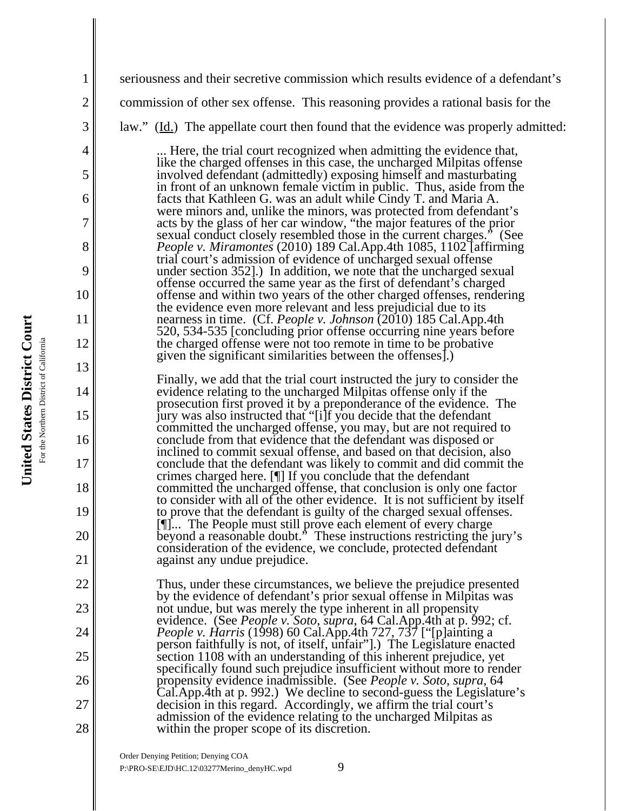United States District Court **United States District Court** For the Northern District of California For the Northern District of California

1 2 3 4 5 6 7 8 9 10 11 12 13 14 15 16 17 18 19 20 21 22 23 24 25 26 27 28 seriousness and their secretive commission which results evidence of a defendant's commission of other sex offense. This reasoning provides a rational basis for the law." (Id.) The appellate court then found that the evidence was properly admitted: ... Here, the trial court recognized when admitting the evidence that, like the charged offenses in this case, the uncharged Milpitas offense involved defendant (admittedly) exposing himself and masturbating in front of an unknown female victim in public. Thus, aside from the facts that Kathleen G. was an adult while Cindy T. and Maria A. were minors and, unlike the minors, was protected from defendant's acts by the glass of her car window, "the major features of the prior sexual conduct closely resembled those in the current charges." (See *People v. Miramontes* (2010) 189 Cal.App.4th 1085, 1102 [affirming trial court's admission of evidence of uncharged sexual offense under section 352].) In addition, we note that the uncharged sexual offense occurred the same year as the first of defendant's charged offense and within two years of the other charged offenses, rendering the evidence even more relevant and less prejudicial due to its nearness in time. (Cf. *People v. Johnson* (2010) 185 Cal.App.4th 520, 534-535 [concluding prior offense occurring nine years before the charged offense were not too remote in time to be probative given the significant similarities between the offenses].) Finally, we add that the trial court instructed the jury to consider the evidence relating to the uncharged Milpitas offense only if the prosecution first proved it by a preponderance of the evidence. The jury was also instructed that "[i]f you decide that the defendant committed the uncharged offense, you may, but are not required to conclude from that evidence that the defendant was disposed or inclined to commit sexual offense, and based on that decision, also conclude that the defendant was likely to commit and did commit the crimes charged here. [¶] If you conclude that the defendant committed the uncharged offense, that conclusion is only one factor to consider with all of the other evidence. It is not sufficient by itself to prove that the defendant is guilty of the charged sexual offenses. [¶]... The People must still prove each element of every charge beyond a reasonable doubt." These instructions restricting the jury's consideration of the evidence, we conclude, protected defendant against any undue prejudice. Thus, under these circumstances, we believe the prejudice presented by the evidence of defendant's prior sexual offense in Milpitas was not undue, but was merely the type inherent in all propensity evidence. (See *People v. Soto*, *supra*, 64 Cal.App.4th at p. 992; cf. *People v. Harris* (1998) 60 Cal.App.4th 727, 737 ["[p]ainting a person faithfully is not, of itself, unfair"].) The Legislature enacted section 1108 with an understanding of this inherent prejudice, yet specifically found such prejudice insufficient without more to render propensity evidence inadmissible. (See *People v. Soto*, *supra*, 64 Cal.App.4th at p. 992.) We decline to second-guess the Legislature's decision in this regard. Accordingly, we affirm the trial court's admission of the evidence relating to the uncharged Milpitas as within the proper scope of its discretion.

Order Denying Petition; Denying COA P:\PRO-SE\EJD\HC.12\03277Merino\_denyHC.wpd 9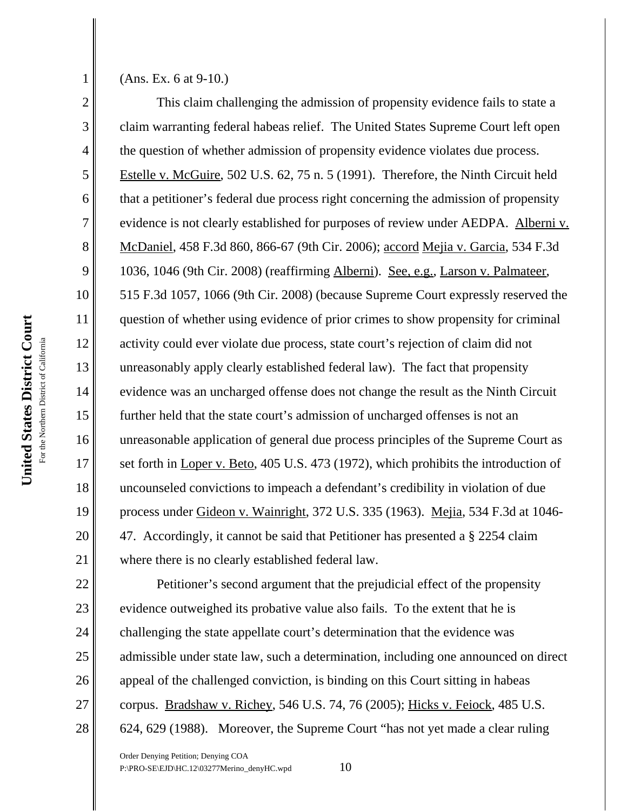United States District Court **United States District Court** For the Northern District of California For the Northern District of Californi

23

24

25

26

27

28

1

2

3

4

5

6

7

8

9

(Ans. Ex. 6 at 9-10.)

This claim challenging the admission of propensity evidence fails to state a claim warranting federal habeas relief. The United States Supreme Court left open the question of whether admission of propensity evidence violates due process. Estelle v. McGuire, 502 U.S. 62, 75 n. 5 (1991). Therefore, the Ninth Circuit held that a petitioner's federal due process right concerning the admission of propensity evidence is not clearly established for purposes of review under AEDPA. Alberni v. McDaniel, 458 F.3d 860, 866-67 (9th Cir. 2006); accord Mejia v. Garcia, 534 F.3d 1036, 1046 (9th Cir. 2008) (reaffirming Alberni). See, e.g., Larson v. Palmateer, 515 F.3d 1057, 1066 (9th Cir. 2008) (because Supreme Court expressly reserved the question of whether using evidence of prior crimes to show propensity for criminal activity could ever violate due process, state court's rejection of claim did not unreasonably apply clearly established federal law). The fact that propensity evidence was an uncharged offense does not change the result as the Ninth Circuit further held that the state court's admission of uncharged offenses is not an unreasonable application of general due process principles of the Supreme Court as set forth in Loper v. Beto, 405 U.S. 473 (1972), which prohibits the introduction of uncounseled convictions to impeach a defendant's credibility in violation of due process under Gideon v. Wainright, 372 U.S. 335 (1963). Mejia, 534 F.3d at 1046- 47. Accordingly, it cannot be said that Petitioner has presented a § 2254 claim where there is no clearly established federal law.

Petitioner's second argument that the prejudicial effect of the propensity evidence outweighed its probative value also fails. To the extent that he is challenging the state appellate court's determination that the evidence was admissible under state law, such a determination, including one announced on direct appeal of the challenged conviction, is binding on this Court sitting in habeas corpus. Bradshaw v. Richey, 546 U.S. 74, 76 (2005); Hicks v. Feiock, 485 U.S. 624, 629 (1988). Moreover, the Supreme Court "has not yet made a clear ruling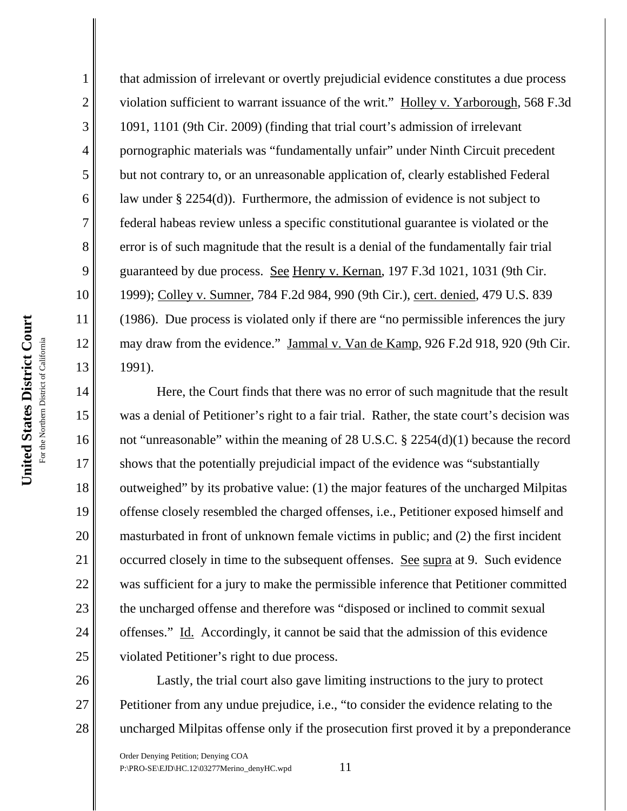2

3

4

5

6

7

8

9

10

11

12

13

14

15

16

17

18

19

20

21

22

23

24

25

26

27

28

that admission of irrelevant or overtly prejudicial evidence constitutes a due process violation sufficient to warrant issuance of the writ." Holley v. Yarborough, 568 F.3d 1091, 1101 (9th Cir. 2009) (finding that trial court's admission of irrelevant pornographic materials was "fundamentally unfair" under Ninth Circuit precedent but not contrary to, or an unreasonable application of, clearly established Federal law under § 2254(d)). Furthermore, the admission of evidence is not subject to federal habeas review unless a specific constitutional guarantee is violated or the error is of such magnitude that the result is a denial of the fundamentally fair trial guaranteed by due process. See Henry v. Kernan, 197 F.3d 1021, 1031 (9th Cir. 1999); Colley v. Sumner, 784 F.2d 984, 990 (9th Cir.), cert. denied, 479 U.S. 839 (1986). Due process is violated only if there are "no permissible inferences the jury may draw from the evidence." Jammal v. Van de Kamp, 926 F.2d 918, 920 (9th Cir. 1991).

Here, the Court finds that there was no error of such magnitude that the result was a denial of Petitioner's right to a fair trial. Rather, the state court's decision was not "unreasonable" within the meaning of 28 U.S.C. § 2254(d)(1) because the record shows that the potentially prejudicial impact of the evidence was "substantially outweighed" by its probative value: (1) the major features of the uncharged Milpitas offense closely resembled the charged offenses, i.e., Petitioner exposed himself and masturbated in front of unknown female victims in public; and (2) the first incident occurred closely in time to the subsequent offenses. See supra at 9. Such evidence was sufficient for a jury to make the permissible inference that Petitioner committed the uncharged offense and therefore was "disposed or inclined to commit sexual offenses." Id. Accordingly, it cannot be said that the admission of this evidence violated Petitioner's right to due process.

Lastly, the trial court also gave limiting instructions to the jury to protect Petitioner from any undue prejudice, i.e., "to consider the evidence relating to the uncharged Milpitas offense only if the prosecution first proved it by a preponderance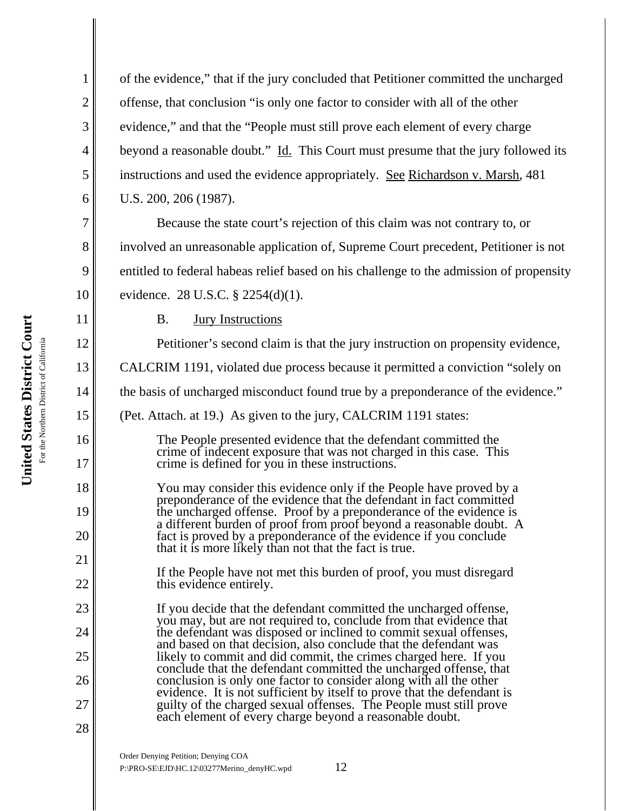2

3

4

5

6

7

8

9

10

11

12

13

14

15

16

17

18

19

20

21

22

23

24

25

26

27

28

of the evidence," that if the jury concluded that Petitioner committed the uncharged offense, that conclusion "is only one factor to consider with all of the other evidence," and that the "People must still prove each element of every charge beyond a reasonable doubt." Id. This Court must presume that the jury followed its instructions and used the evidence appropriately. See Richardson v. Marsh, 481 U.S. 200, 206 (1987).

Because the state court's rejection of this claim was not contrary to, or involved an unreasonable application of, Supreme Court precedent, Petitioner is not entitled to federal habeas relief based on his challenge to the admission of propensity evidence. 28 U.S.C. § 2254(d)(1).

B. Jury Instructions

Petitioner's second claim is that the jury instruction on propensity evidence,

CALCRIM 1191, violated due process because it permitted a conviction "solely on

the basis of uncharged misconduct found true by a preponderance of the evidence."

(Pet. Attach. at 19.) As given to the jury, CALCRIM 1191 states:

The People presented evidence that the defendant committed the crime of indecent exposure that was not charged in this case. This crime is defined for you in these instructions.

You may consider this evidence only if the People have proved by a preponderance of the evidence that the defendant in fact committed the uncharged offense. Proof by a preponderance of the evidence is a different burden of proof from proof beyond a reasonable doubt. A fact is proved by a preponderance of the evidence if you conclude that it is more likely than not that the fact is true.

If the People have not met this burden of proof, you must disregard this evidence entirely.

If you decide that the defendant committed the uncharged offense, you may, but are not required to, conclude from that evidence that the defendant was disposed or inclined to commit sexual offenses, and based on that decision, also conclude that the defendant was likely to commit and did commit, the crimes charged here. If you conclude that the defendant committed the uncharged offense, that conclusion is only one factor to consider along with all the other evidence. It is not sufficient by itself to prove that the defendant is guilty of the charged sexual offenses. The People must still prove each element of every charge beyond a reasonable doubt.

Order Denying Petition; Denying COA  $P:\P$ RO-SE\EJD\HC.12\03277Merino\_denyHC.wpd 12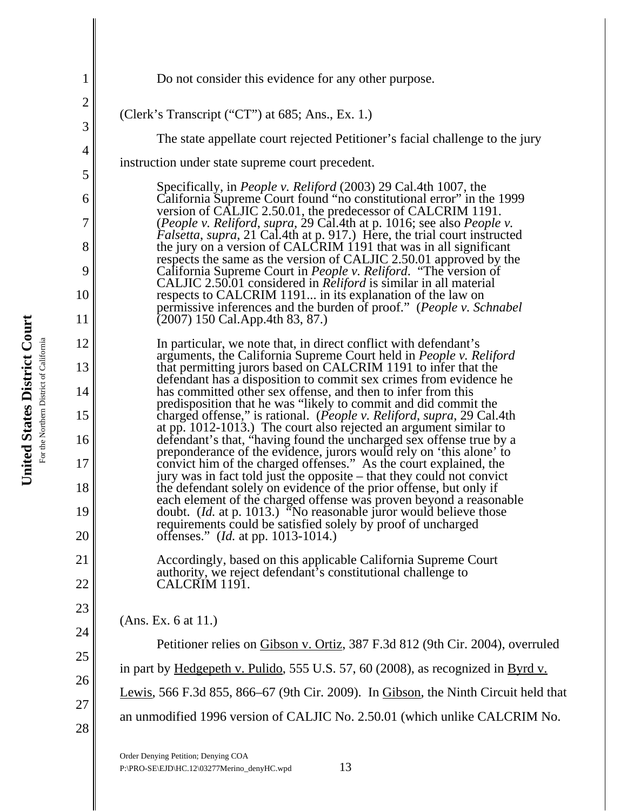| $\mathbf 1$    | Do not consider this evidence for any other purpose.                                                                                              |
|----------------|---------------------------------------------------------------------------------------------------------------------------------------------------|
| $\overline{2}$ |                                                                                                                                                   |
| 3              | (Clerk's Transcript ("CT") at 685; Ans., Ex. 1.)                                                                                                  |
| $\overline{4}$ | The state appellate court rejected Petitioner's facial challenge to the jury                                                                      |
| 5              | instruction under state supreme court precedent.                                                                                                  |
| 6              | Specifically, in <i>People v. Reliford</i> (2003) 29 Cal.4th 1007, the<br>California Supreme Court found "no constitutional error" in the 1999    |
| 7              | version of CALJIC 2.50.01, the predecessor of CALCRIM 1191.                                                                                       |
|                | (People v. Reliford, supra, 29 Cal.4th at p. 1016; see also People v.<br>Falsetta, supra, 21 Cal.4th at p. 917.) Here, the trial court instructed |
| 8              | the jury on a version of CALCRIM 1191 that was in all significant<br>respects the same as the version of CALJIC 2.50.01 approved by the           |
| 9              | California Supreme Court in <i>People v. Reliford.</i> "The version of<br>CALJIC 2.50.01 considered in <i>Reliford</i> is similar in all material |
| 10             | respects to CALCRIM 1191 in its explanation of the law on<br>permissive inferences and the burden of proof." (People v. Schnabel                  |
| 11             | $(2007)$ 150 Cal.App.4th 83, 87.)                                                                                                                 |
| 12             | In particular, we note that, in direct conflict with defendant's<br>arguments, the California Supreme Court held in People v. Reliford            |
| 13             | that permitting jurors based on CALCRIM 1191 to infer that the<br>defendant has a disposition to commit sex crimes from evidence he               |
| 14             | has committed other sex offense, and then to infer from this                                                                                      |
| 15             | predisposition that he was "likely to commit and did commit the<br>charged offense," is rational. (People v. Reliford, supra, 29 Cal.4th          |
| 16             | at pp. 1012-1013.) The court also rejected an argument similar to<br>defendant's that, "having found the uncharged sex offense true by a          |
| 17             | preponderance of the evidence, jurors would rely on 'this alone' to<br>convict him of the charged offenses." As the court explained, the          |
| 18             | jury was in fact told just the opposite – that they could not convict<br>the defendant solely on evidence of the prior offense, but only if       |
| 19             | each element of the charged offense was proven beyond a reasonable<br>doubt. ( <i>Id.</i> at p. 1013.) "No reasonable juror would believe those   |
| 20             | requirements could be satisfied solely by proof of uncharged<br>offenses." ( <i>Id.</i> at pp. 1013-1014.)                                        |
| 21             | Accordingly, based on this applicable California Supreme Court                                                                                    |
| 22             | authority, we reject defendant's constitutional challenge to<br>CALCRIM 1191.                                                                     |
| 23             |                                                                                                                                                   |
| 24             | (Ans. Ex. 6 at 11.)                                                                                                                               |
| 25             | Petitioner relies on Gibson v. Ortiz, 387 F.3d 812 (9th Cir. 2004), overruled                                                                     |
|                | in part by Hedgepeth v. Pulido, 555 U.S. 57, 60 (2008), as recognized in Byrd v.                                                                  |
| 26             | Lewis, 566 F.3d 855, 866–67 (9th Cir. 2009). In Gibson, the Ninth Circuit held that                                                               |
| 27             | an unmodified 1996 version of CALJIC No. 2.50.01 (which unlike CALCRIM No.                                                                        |
| 28             |                                                                                                                                                   |
|                |                                                                                                                                                   |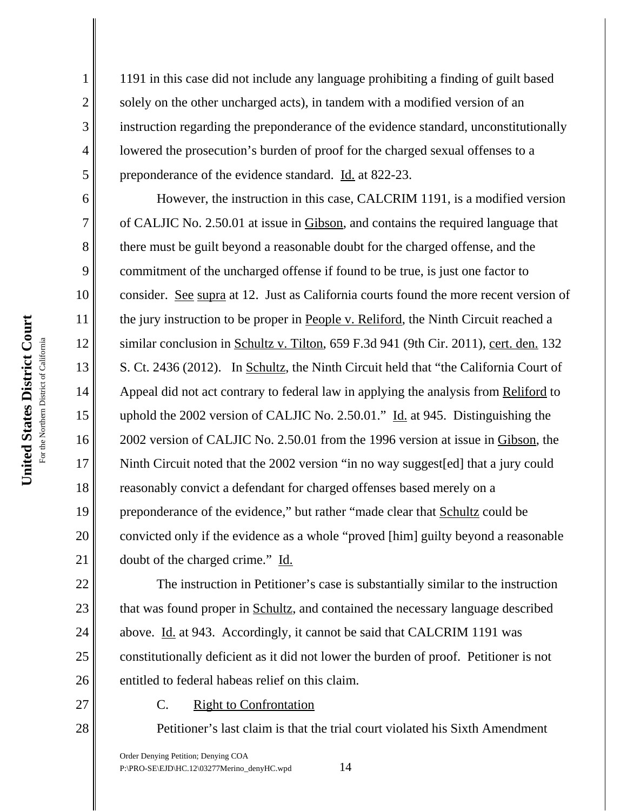2

3

4

5

6

7

8

9

10

11

12

13

14

15

16

17

18

19

20

21

22

23

24

25

26

27

28

1191 in this case did not include any language prohibiting a finding of guilt based solely on the other uncharged acts), in tandem with a modified version of an instruction regarding the preponderance of the evidence standard, unconstitutionally lowered the prosecution's burden of proof for the charged sexual offenses to a preponderance of the evidence standard. Id. at 822-23.

However, the instruction in this case, CALCRIM 1191, is a modified version of CALJIC No. 2.50.01 at issue in Gibson, and contains the required language that there must be guilt beyond a reasonable doubt for the charged offense, and the commitment of the uncharged offense if found to be true, is just one factor to consider. See supra at 12. Just as California courts found the more recent version of the jury instruction to be proper in People v. Reliford, the Ninth Circuit reached a similar conclusion in Schultz v. Tilton, 659 F.3d 941 (9th Cir. 2011), cert. den. 132 S. Ct. 2436 (2012). In Schultz, the Ninth Circuit held that "the California Court of Appeal did not act contrary to federal law in applying the analysis from Reliford to uphold the 2002 version of CALJIC No. 2.50.01." Id. at 945. Distinguishing the 2002 version of CALJIC No. 2.50.01 from the 1996 version at issue in Gibson, the Ninth Circuit noted that the 2002 version "in no way suggest[ed] that a jury could reasonably convict a defendant for charged offenses based merely on a preponderance of the evidence," but rather "made clear that Schultz could be convicted only if the evidence as a whole "proved [him] guilty beyond a reasonable doubt of the charged crime." Id.

The instruction in Petitioner's case is substantially similar to the instruction that was found proper in Schultz, and contained the necessary language described above. Id. at 943. Accordingly, it cannot be said that CALCRIM 1191 was constitutionally deficient as it did not lower the burden of proof. Petitioner is not entitled to federal habeas relief on this claim.

C. Right to Confrontation

Petitioner's last claim is that the trial court violated his Sixth Amendment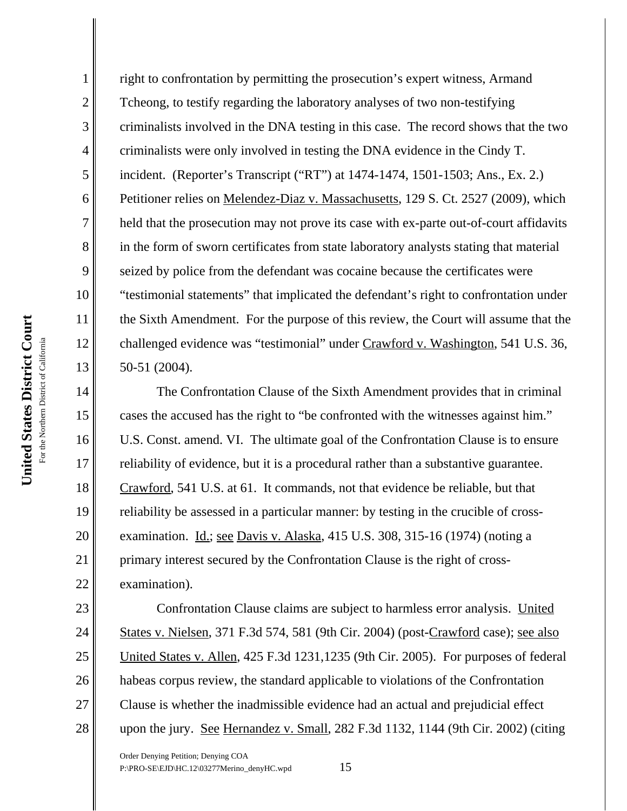2

3

4

5

6

7

8

9

10

11

12

13

14

15

16

17

18

19

20

21

22

right to confrontation by permitting the prosecution's expert witness, Armand Tcheong, to testify regarding the laboratory analyses of two non-testifying criminalists involved in the DNA testing in this case. The record shows that the two criminalists were only involved in testing the DNA evidence in the Cindy T. incident. (Reporter's Transcript ("RT") at 1474-1474, 1501-1503; Ans., Ex. 2.) Petitioner relies on Melendez-Diaz v. Massachusetts, 129 S. Ct. 2527 (2009), which held that the prosecution may not prove its case with ex-parte out-of-court affidavits in the form of sworn certificates from state laboratory analysts stating that material seized by police from the defendant was cocaine because the certificates were "testimonial statements" that implicated the defendant's right to confrontation under the Sixth Amendment. For the purpose of this review, the Court will assume that the challenged evidence was "testimonial" under Crawford v. Washington, 541 U.S. 36, 50-51 (2004).

The Confrontation Clause of the Sixth Amendment provides that in criminal cases the accused has the right to "be confronted with the witnesses against him." U.S. Const. amend. VI. The ultimate goal of the Confrontation Clause is to ensure reliability of evidence, but it is a procedural rather than a substantive guarantee. Crawford, 541 U.S. at 61. It commands, not that evidence be reliable, but that reliability be assessed in a particular manner: by testing in the crucible of crossexamination. Id.; see Davis v. Alaska, 415 U.S. 308, 315-16 (1974) (noting a primary interest secured by the Confrontation Clause is the right of crossexamination).

23 24 25 26 27 28 Confrontation Clause claims are subject to harmless error analysis. United States v. Nielsen, 371 F.3d 574, 581 (9th Cir. 2004) (post-Crawford case); see also United States v. Allen, 425 F.3d 1231,1235 (9th Cir. 2005). For purposes of federal habeas corpus review, the standard applicable to violations of the Confrontation Clause is whether the inadmissible evidence had an actual and prejudicial effect upon the jury. See Hernandez v. Small, 282 F.3d 1132, 1144 (9th Cir. 2002) (citing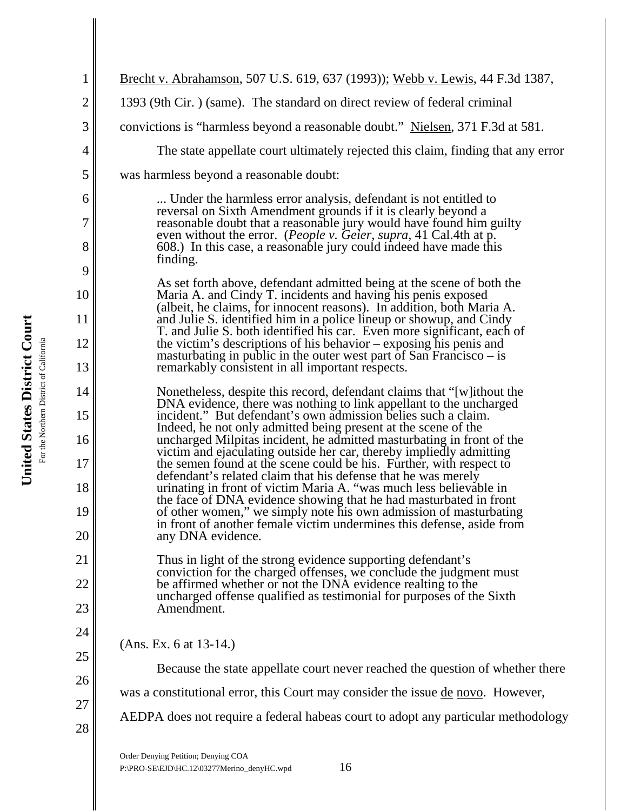| 1              | <u>Brecht v. Abrahamson, 507 U.S. 619, 637 (1993)); Webb v. Lewis</u> , 44 F.3d 1387,                                                                                                                        |
|----------------|--------------------------------------------------------------------------------------------------------------------------------------------------------------------------------------------------------------|
| $\overline{2}$ | 1393 (9th Cir.) (same). The standard on direct review of federal criminal                                                                                                                                    |
| 3              | convictions is "harmless beyond a reasonable doubt." Nielsen, 371 F.3d at 581.                                                                                                                               |
| 4              | The state appellate court ultimately rejected this claim, finding that any error                                                                                                                             |
| 5              | was harmless beyond a reasonable doubt:                                                                                                                                                                      |
| 6              | Under the harmless error analysis, defendant is not entitled to<br>reversal on Sixth Amendment grounds if it is clearly beyond a                                                                             |
| 7              | reasonable doubt that a reasonable jury would have found him guilty                                                                                                                                          |
| 8              | even without the error. (People v. Geier, supra, 41 Cal.4th at p.<br>608.) In this case, a reasonable jury could indeed have made this<br>finding.                                                           |
| 9              | As set forth above, defendant admitted being at the scene of both the                                                                                                                                        |
| 10             | Maria A. and Cindy T. incidents and having his penis exposed<br>(albeit, he claims, for innocent reasons). In addition, both Maria A.                                                                        |
| 11             | and Julie S. identified him in a police lineup or showup, and Cindy<br>T. and Julie S. both identified his car. Even more significant, each of                                                               |
| 12             | the victim's descriptions of his behavior $-\exp\{\phi}$ his penis and<br>masturbating in public in the outer west part of San Francisco $-$ is                                                              |
| 13             | remarkably consistent in all important respects.                                                                                                                                                             |
| 14             | Nonetheless, despite this record, defendant claims that "[w] ithout the<br>DNA evidence, there was nothing to link appellant to the uncharged                                                                |
| 15<br>16       | incident." But defendant's own admission belies such a claim.<br>Indeed, he not only admitted being present at the scene of the                                                                              |
| 17             | uncharged Milpitas incident, he admitted masturbating in front of the<br>victim and ejaculating outside her car, thereby impliedly admitting                                                                 |
| 18             | the semen found at the scene could be his. Further, with respect to<br>defendant's related claim that his defense that he was merely                                                                         |
| 19             | urinating in front of victim Maria A. "was much less believable in<br>the face of DNA evidence showing that he had masturbated in front<br>of other women," we simply note his own admission of masturbating |
| 20             | in front of another female victim undermines this defense, aside from<br>any DNA evidence.                                                                                                                   |
| 21             |                                                                                                                                                                                                              |
| 22             | Thus in light of the strong evidence supporting defendant's<br>conviction for the charged offenses, we conclude the judgment must<br>be affirmed whether or not the DNA evidence realting to the             |
| 23             | uncharged offense qualified as testimonial for purposes of the Sixth<br>Amendment.                                                                                                                           |
| 24             |                                                                                                                                                                                                              |
| 25             | (Ans. Ex. 6 at 13-14.)                                                                                                                                                                                       |
| 26             | Because the state appellate court never reached the question of whether there                                                                                                                                |
| 27             | was a constitutional error, this Court may consider the issue <u>de novo</u> . However,                                                                                                                      |
| 28             | AEDPA does not require a federal habeas court to adopt any particular methodology                                                                                                                            |
|                | Order Denving Petition: Denving COA                                                                                                                                                                          |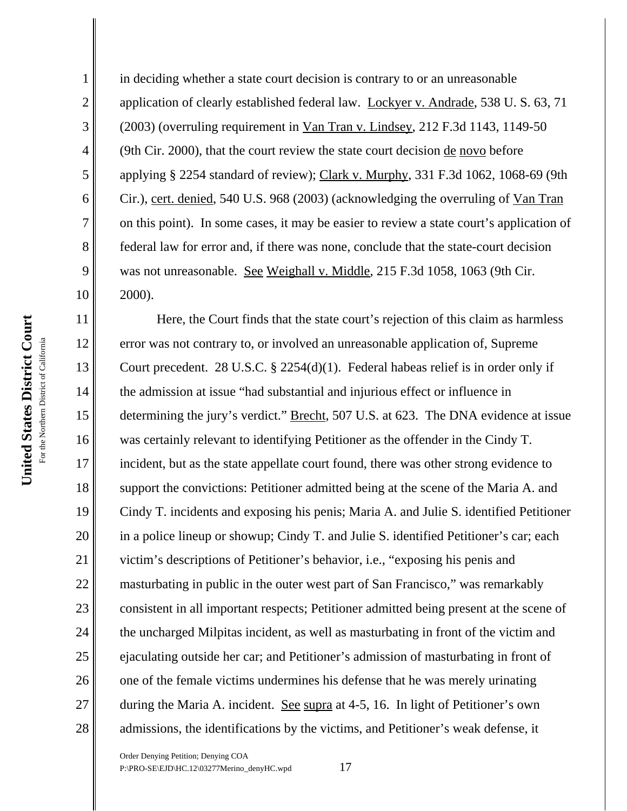2

3

4

5

6

7

8

9

17

18

19

20

21

22

23

24

25

26

27

28

in deciding whether a state court decision is contrary to or an unreasonable application of clearly established federal law. Lockyer v. Andrade, 538 U. S. 63, 71 (2003) (overruling requirement in Van Tran v. Lindsey, 212 F.3d 1143, 1149-50 (9th Cir. 2000), that the court review the state court decision de novo before applying § 2254 standard of review); Clark v. Murphy, 331 F.3d 1062, 1068-69 (9th Cir.), cert. denied, 540 U.S. 968 (2003) (acknowledging the overruling of Van Tran on this point). In some cases, it may be easier to review a state court's application of federal law for error and, if there was none, conclude that the state-court decision was not unreasonable. See Weighall v. Middle, 215 F.3d 1058, 1063 (9th Cir. 2000).

Here, the Court finds that the state court's rejection of this claim as harmless error was not contrary to, or involved an unreasonable application of, Supreme Court precedent. 28 U.S.C. § 2254(d)(1). Federal habeas relief is in order only if the admission at issue "had substantial and injurious effect or influence in determining the jury's verdict." Brecht, 507 U.S. at 623. The DNA evidence at issue was certainly relevant to identifying Petitioner as the offender in the Cindy T. incident, but as the state appellate court found, there was other strong evidence to support the convictions: Petitioner admitted being at the scene of the Maria A. and Cindy T. incidents and exposing his penis; Maria A. and Julie S. identified Petitioner in a police lineup or showup; Cindy T. and Julie S. identified Petitioner's car; each victim's descriptions of Petitioner's behavior, i.e., "exposing his penis and masturbating in public in the outer west part of San Francisco," was remarkably consistent in all important respects; Petitioner admitted being present at the scene of the uncharged Milpitas incident, as well as masturbating in front of the victim and ejaculating outside her car; and Petitioner's admission of masturbating in front of one of the female victims undermines his defense that he was merely urinating during the Maria A. incident. See supra at 4-5, 16. In light of Petitioner's own admissions, the identifications by the victims, and Petitioner's weak defense, it

Order Denying Petition; Denying COA P:\PRO-SE\EJD\HC.12\03277Merino\_denyHC.wpd 17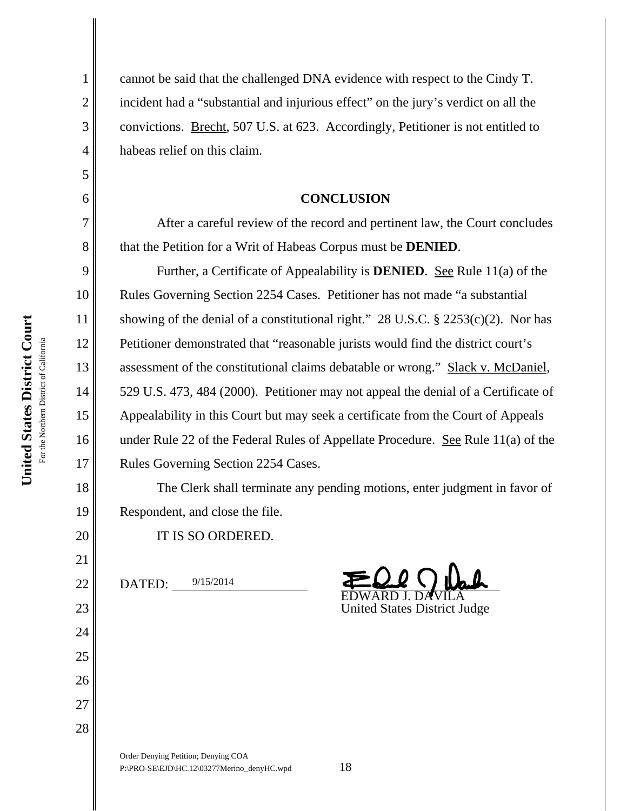2

3

4

5

6

7

8

9

10

11

12

13

14

15

16

17

18

19

20

21

22

23

24

25

26

27

28

cannot be said that the challenged DNA evidence with respect to the Cindy T. incident had a "substantial and injurious effect" on the jury's verdict on all the convictions. Brecht, 507 U.S. at 623. Accordingly, Petitioner is not entitled to habeas relief on this claim.

## **CONCLUSION**

After a careful review of the record and pertinent law, the Court concludes that the Petition for a Writ of Habeas Corpus must be **DENIED**.

Further, a Certificate of Appealability is **DENIED**. See Rule 11(a) of the Rules Governing Section 2254 Cases. Petitioner has not made "a substantial showing of the denial of a constitutional right." 28 U.S.C.  $\S$  2253(c)(2). Nor has Petitioner demonstrated that "reasonable jurists would find the district court's assessment of the constitutional claims debatable or wrong." Slack v. McDaniel, 529 U.S. 473, 484 (2000). Petitioner may not appeal the denial of a Certificate of Appealability in this Court but may seek a certificate from the Court of Appeals under Rule 22 of the Federal Rules of Appellate Procedure. See Rule 11(a) of the Rules Governing Section 2254 Cases.

The Clerk shall terminate any pending motions, enter judgment in favor of Respondent, and close the file.

IT IS SO ORDERED.

DATED: 9/15/2014

EDWARD J. DAVILA

United States District Judge